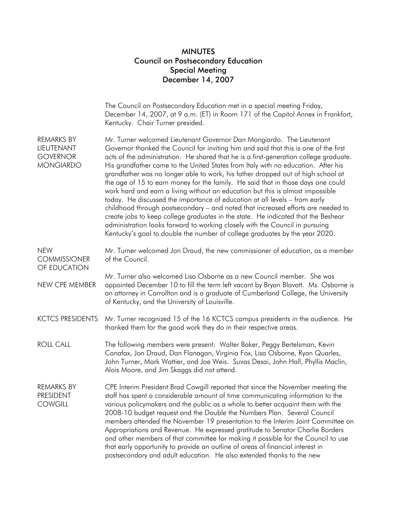## MINUTES Council on Postsecondary Education Special Meeting December 14, 2007

|                                                                        | The Council on Postsecondary Education met in a special meeting Friday,<br>December 14, 2007, at 9 a.m. (ET) in Room 171 of the Capitol Annex in Frankfort,<br>Kentucky. Chair Turner presided.                                                                                                                                                                                                                                                                                                                                                                                                                                                                                                                                                                                                                                                                                                                                                                                                                             |
|------------------------------------------------------------------------|-----------------------------------------------------------------------------------------------------------------------------------------------------------------------------------------------------------------------------------------------------------------------------------------------------------------------------------------------------------------------------------------------------------------------------------------------------------------------------------------------------------------------------------------------------------------------------------------------------------------------------------------------------------------------------------------------------------------------------------------------------------------------------------------------------------------------------------------------------------------------------------------------------------------------------------------------------------------------------------------------------------------------------|
| <b>REMARKS BY</b><br>LIEUTENANT<br><b>GOVERNOR</b><br><b>MONGIARDO</b> | Mr. Turner welcomed Lieutenant Governor Dan Mongiardo. The Lieutenant<br>Governor thanked the Council for inviting him and said that this is one of the first<br>acts of the administration. He shared that he is a first-generation college graduate.<br>His grandfather came to the United States from Italy with no education. After his<br>grandfather was no longer able to work, his father dropped out of high school at<br>the age of 15 to earn money for the family. He said that in those days one could<br>work hard and earn a living without an education but this is almost impossible<br>today. He discussed the importance of education at all levels – from early<br>childhood through postsecondary – and noted that increased efforts are needed to<br>create jobs to keep college graduates in the state. He indicated that the Beshear<br>administration looks forward to working closely with the Council in pursuing<br>Kentucky's goal to double the number of college graduates by the year 2020. |
| <b>NEW</b><br><b>COMMISSIONER</b><br>OF EDUCATION                      | Mr. Turner welcomed Jon Draud, the new commissioner of education, as a member<br>of the Council.                                                                                                                                                                                                                                                                                                                                                                                                                                                                                                                                                                                                                                                                                                                                                                                                                                                                                                                            |
| NEW CPE MEMBER                                                         | Mr. Turner also welcomed Lisa Osborne as a new Council member. She was<br>appointed December 10 to fill the term left vacant by Bryan Blavatt. Ms. Osborne is<br>an attorney in Carrollton and is a graduate of Cumberland College, the University<br>of Kentucky, and the University of Louisville.                                                                                                                                                                                                                                                                                                                                                                                                                                                                                                                                                                                                                                                                                                                        |
| <b>KCTCS PRESIDENTS</b>                                                | Mr. Turner recognized 15 of the 16 KCTCS campus presidents in the audience. He<br>thanked them for the good work they do in their respective areas.                                                                                                                                                                                                                                                                                                                                                                                                                                                                                                                                                                                                                                                                                                                                                                                                                                                                         |
| <b>ROLL CALL</b>                                                       | The following members were present: Walter Baker, Peggy Bertelsman, Kevin<br>Canafax, Jon Draud, Dan Flanagan, Virginia Fox, Lisa Osborne, Ryan Quarles,<br>John Turner, Mark Wattier, and Joe Weis. Suvas Desai, John Hall, Phyllis Maclin,<br>Alois Moore, and Jim Skaggs did not attend.                                                                                                                                                                                                                                                                                                                                                                                                                                                                                                                                                                                                                                                                                                                                 |
| <b>REMARKS BY</b><br><b>PRESIDENT</b><br><b>COWGILL</b>                | CPE Interim President Brad Cowgill reported that since the November meeting the<br>staff has spent a considerable amount of time communicating information to the<br>various policymakers and the public as a whole to better acquaint them with the<br>2008-10 budget request and the Double the Numbers Plan. Several Council<br>members attended the November 19 presentation to the Interim Joint Committee on<br>Appropriations and Revenue. He expressed gratitude to Senator Charlie Borders<br>and other members of that committee for making it possible for the Council to use<br>that early opportunity to provide an outline of areas of financial interest in<br>postsecondary and adult education. He also extended thanks to the new                                                                                                                                                                                                                                                                         |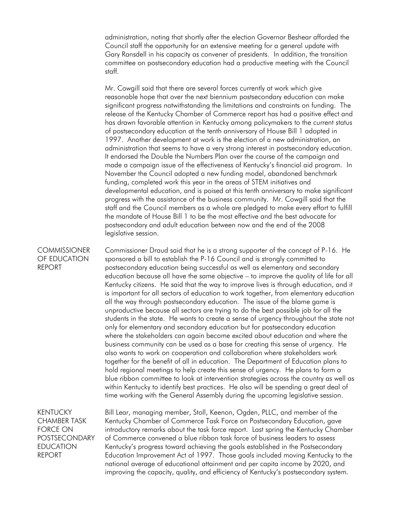administration, noting that shortly after the election Governor Beshear afforded the Council staff the opportunity for an extensive meeting for a general update with Gary Ransdell in his capacity as convener of presidents. In addition, the transition committee on postsecondary education had a productive meeting with the Council staff.

Mr. Cowgill said that there are several forces currently at work which give reasonable hope that over the next biennium postsecondary education can make significant progress notwithstanding the limitations and constraints on funding. The release of the Kentucky Chamber of Commerce report has had a positive effect and has drawn favorable attention in Kentucky among policymakers to the current status of postsecondary education at the tenth anniversary of House Bill 1 adopted in 1997. Another development at work is the election of a new administration, an administration that seems to have a very strong interest in postsecondary education. It endorsed the Double the Numbers Plan over the course of the campaign and made a campaign issue of the effectiveness of Kentucky's financial aid program. In November the Council adopted a new funding model, abandoned benchmark funding, completed work this year in the areas of STEM initiatives and developmental education, and is poised at this tenth anniversary to make significant progress with the assistance of the business community. Mr. Cowgill said that the staff and the Council members as a whole are pledged to make every effort to fulfill the mandate of House Bill 1 to be the most effective and the best advocate for postsecondary and adult education between now and the end of the 2008 legislative session.

## **COMMISSIONER** OF EDUCATION REPORT

Commissioner Draud said that he is a strong supporter of the concept of P-16. He sponsored a bill to establish the P-16 Council and is strongly committed to postsecondary education being successful as well as elementary and secondary education because all have the same objective – to improve the quality of life for all Kentucky citizens. He said that the way to improve lives is through education, and it is important for all sectors of education to work together, from elementary education all the way through postsecondary education. The issue of the blame game is unproductive because all sectors are trying to do the best possible job for all the students in the state. He wants to create a sense of urgency throughout the state not only for elementary and secondary education but for postsecondary education where the stakeholders can again become excited about education and where the business community can be used as a base for creating this sense of urgency. He also wants to work on cooperation and collaboration where stakeholders work together for the benefit of all in education. The Department of Education plans to hold regional meetings to help create this sense of urgency. He plans to form a blue ribbon committee to look at intervention strategies across the country as well as within Kentucky to identify best practices. He also will be spending a great deal of time working with the General Assembly during the upcoming legislative session.

KENTUCKY CHAMBER TASK FORCE ON POSTSECONDARY EDUCATION REPORT

Bill Lear, managing member, Stoll, Keenon, Ogden, PLLC, and member of the Kentucky Chamber of Commerce Task Force on Postsecondary Education, gave introductory remarks about the task force report. Last spring the Kentucky Chamber of Commerce convened a blue ribbon task force of business leaders to assess Kentucky's progress toward achieving the goals established in the Postsecondary Education Improvement Act of 1997. Those goals included moving Kentucky to the national average of educational attainment and per capita income by 2020, and improving the capacity, quality, and efficiency of Kentucky's postsecondary system.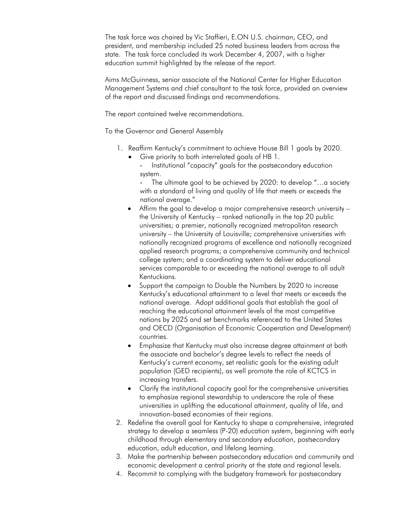The task force was chaired by Vic Staffieri, E.ON U.S. chairman, CEO, and president, and membership included 25 noted business leaders from across the state. The task force concluded its work December 4, 2007, with a higher education summit highlighted by the release of the report.

Aims McGuinness, senior associate of the National Center for Higher Education Management Systems and chief consultant to the task force, provided an overview of the report and discussed findings and recommendations.

The report contained twelve recommendations.

To the Governor and General Assembly

- 1. Reaffirm Kentucky's commitment to achieve House Bill 1 goals by 2020.
	- Give priority to both interrelated goals of HB 1.
		- Institutional "capacity" goals for the postsecondary education system.

The ultimate goal to be achieved by 2020: to develop "...a society with a standard of living and quality of life that meets or exceeds the national average."

- Affirm the goal to develop a major comprehensive research university the University of Kentucky – ranked nationally in the top 20 public universities; a premier, nationally recognized metropolitan research university – the University of Louisville; comprehensive universities with nationally recognized programs of excellence and nationally recognized applied research programs; a comprehensive community and technical college system; and a coordinating system to deliver educational services comparable to or exceeding the national average to all adult Kentuckians.
- Support the campaign to Double the Numbers by 2020 to increase Kentucky's educational attainment to a level that meets or exceeds the national average. Adopt additional goals that establish the goal of reaching the educational attainment levels of the most competitive nations by 2025 and set benchmarks referenced to the United States and OECD (Organisation of Economic Cooperation and Development) countries.
- Emphasize that Kentucky must also increase degree attainment at both the associate and bachelor's degree levels to reflect the needs of Kentucky's current economy, set realistic goals for the existing adult population (GED recipients), as well promote the role of KCTCS in increasing transfers.
- Clarify the institutional capacity goal for the comprehensive universities to emphasize regional stewardship to underscore the role of these universities in uplifting the educational attainment, quality of life, and innovation-based economies of their regions.
- 2. Redefine the overall goal for Kentucky to shape a comprehensive, integrated strategy to develop a seamless (P-20) education system, beginning with early childhood through elementary and secondary education, postsecondary education, adult education, and lifelong learning.
- 3. Make the partnership between postsecondary education and community and economic development a central priority at the state and regional levels.
- 4. Recommit to complying with the budgetary framework for postsecondary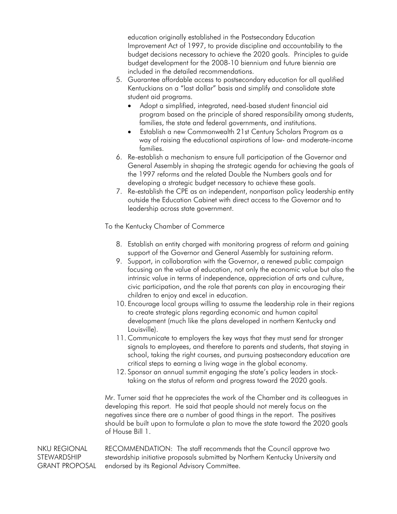education originally established in the Postsecondary Education Improvement Act of 1997, to provide discipline and accountability to the budget decisions necessary to achieve the 2020 goals. Principles to guide budget development for the 2008-10 biennium and future biennia are included in the detailed recommendations.

- 5. Guarantee affordable access to postsecondary education for all qualified Kentuckians on a "last dollar" basis and simplify and consolidate state student aid programs.
	- Adopt a simplified, integrated, need-based student financial aid program based on the principle of shared responsibility among students, families, the state and federal governments, and institutions.
	- Establish a new Commonwealth 21st Century Scholars Program as a way of raising the educational aspirations of low- and moderate-income families.
- 6. Re-establish a mechanism to ensure full participation of the Governor and General Assembly in shaping the strategic agenda for achieving the goals of the 1997 reforms and the related Double the Numbers goals and for developing a strategic budget necessary to achieve these goals.
- 7. Re-establish the CPE as an independent, nonpartisan policy leadership entity outside the Education Cabinet with direct access to the Governor and to leadership across state government.

To the Kentucky Chamber of Commerce

- 8. Establish an entity charged with monitoring progress of reform and gaining support of the Governor and General Assembly for sustaining reform.
- 9. Support, in collaboration with the Governor, a renewed public campaign focusing on the value of education, not only the economic value but also the intrinsic value in terms of independence, appreciation of arts and culture, civic participation, and the role that parents can play in encouraging their children to enjoy and excel in education.
- 10. Encourage local groups willing to assume the leadership role in their regions to create strategic plans regarding economic and human capital development (much like the plans developed in northern Kentucky and Louisville).
- 11. Communicate to employers the key ways that they must send far stronger signals to employees, and therefore to parents and students, that staying in school, taking the right courses, and pursuing postsecondary education are critical steps to earning a living wage in the global economy.
- 12. Sponsor an annual summit engaging the state's policy leaders in stocktaking on the status of reform and progress toward the 2020 goals.

Mr. Turner said that he appreciates the work of the Chamber and its colleagues in developing this report. He said that people should not merely focus on the negatives since there are a number of good things in the report. The positives should be built upon to formulate a plan to move the state toward the 2020 goals of House Bill 1.

NKU REGIONAL **STEWARDSHIP** GRANT PROPOSAL RECOMMENDATION: The staff recommends that the Council approve two stewardship initiative proposals submitted by Northern Kentucky University and endorsed by its Regional Advisory Committee.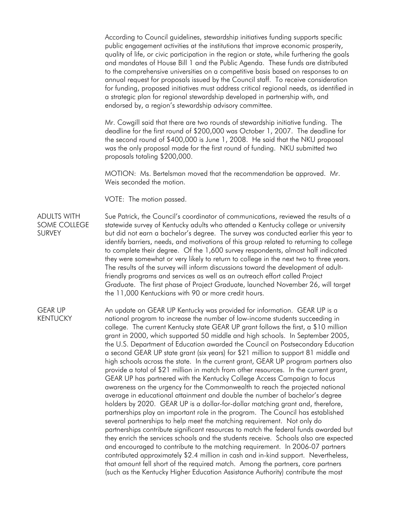According to Council guidelines, stewardship initiatives funding supports specific public engagement activities at the institutions that improve economic prosperity, quality of life, or civic participation in the region or state, while furthering the goals and mandates of House Bill 1 and the Public Agenda. These funds are distributed to the comprehensive universities on a competitive basis based on responses to an annual request for proposals issued by the Council staff. To receive consideration for funding, proposed initiatives must address critical regional needs, as identified in a strategic plan for regional stewardship developed in partnership with, and endorsed by, a region's stewardship advisory committee.

Mr. Cowgill said that there are two rounds of stewardship initiative funding. The deadline for the first round of \$200,000 was October 1, 2007. The deadline for the second round of \$400,000 is June 1, 2008. He said that the NKU proposal was the only proposal made for the first round of funding. NKU submitted two proposals totaling \$200,000.

MOTION: Ms. Bertelsman moved that the recommendation be approved. Mr. Weis seconded the motion.

VOTE: The motion passed.

ADULTS WITH SOME COLLEGE SURVEY Sue Patrick, the Council's coordinator of communications, reviewed the results of a statewide survey of Kentucky adults who attended a Kentucky college or university but did not earn a bachelor's degree. The survey was conducted earlier this year to identify barriers, needs, and motivations of this group related to returning to college to complete their degree. Of the 1,600 survey respondents, almost half indicated they were somewhat or very likely to return to college in the next two to three years. The results of the survey will inform discussions toward the development of adultfriendly programs and services as well as an outreach effort called Project Graduate. The first phase of Project Graduate, launched November 26, will target the 11,000 Kentuckians with 90 or more credit hours.

GEAR UP KENTUCKY An update on GEAR UP Kentucky was provided for information. GEAR UP is a national program to increase the number of low-income students succeeding in college. The current Kentucky state GEAR UP grant follows the first, a \$10 million grant in 2000, which supported 50 middle and high schools. In September 2005, the U.S. Department of Education awarded the Council on Postsecondary Education a second GEAR UP state grant (six years) for \$21 million to support 81 middle and high schools across the state. In the current grant, GEAR UP program partners also provide a total of \$21 million in match from other resources. In the current grant, GEAR UP has partnered with the Kentucky College Access Campaign to focus awareness on the urgency for the Commonwealth to reach the projected national average in educational attainment and double the number of bachelor's degree holders by 2020. GEAR UP is a dollar-for-dollar matching grant and, therefore, partnerships play an important role in the program. The Council has established several partnerships to help meet the matching requirement. Not only do partnerships contribute significant resources to match the federal funds awarded but they enrich the services schools and the students receive. Schools also are expected and encouraged to contribute to the matching requirement. In 2006-07 partners contributed approximately \$2.4 million in cash and in-kind support. Nevertheless, that amount fell short of the required match. Among the partners, core partners (such as the Kentucky Higher Education Assistance Authority) contribute the most